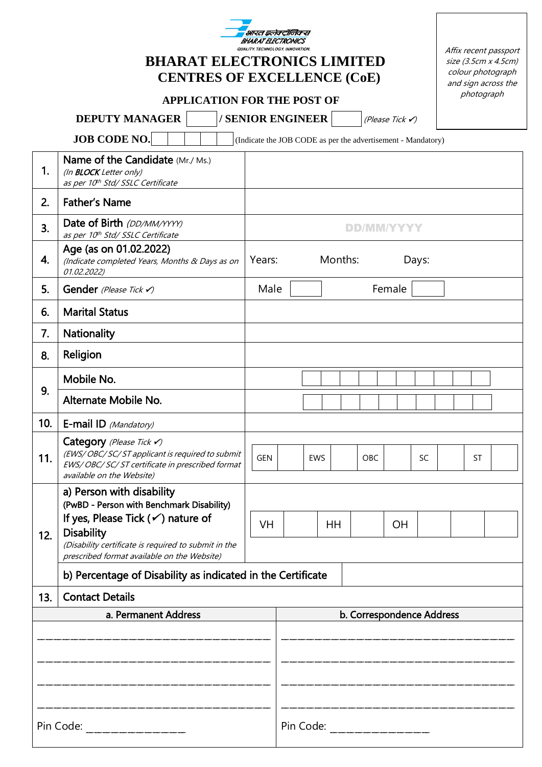|     | भारत इलेक्ट्रानिकस<br><i><b>BHARAT FIFCTR</b></i><br>QUALITY. TECHNOLOGY. INNOVATION.                                                                                                                                                              |                                                                                                         |           |  |  |  |  |  |  |
|-----|----------------------------------------------------------------------------------------------------------------------------------------------------------------------------------------------------------------------------------------------------|---------------------------------------------------------------------------------------------------------|-----------|--|--|--|--|--|--|
|     | <b>BHARAT ELECTRONICS LIMITED</b><br><b>CENTRES OF EXCELLENCE (CoE)</b>                                                                                                                                                                            | Affix recent passport<br>size (3.5cm x 4.5cm)<br>colour photograph<br>and sign across the<br>photograph |           |  |  |  |  |  |  |
|     | <b>APPLICATION FOR THE POST OF</b><br>/ SENIOR ENGINEER                                                                                                                                                                                            |                                                                                                         |           |  |  |  |  |  |  |
|     | <b>DEPUTY MANAGER</b>                                                                                                                                                                                                                              | (Please Tick $\checkmark$ )                                                                             |           |  |  |  |  |  |  |
|     | <b>JOB CODE NO.</b><br>Name of the Candidate (Mr./ Ms.)                                                                                                                                                                                            | (Indicate the JOB CODE as per the advertisement - Mandatory)                                            |           |  |  |  |  |  |  |
| 1.  | (In <b>BLOCK</b> Letter only)<br>as per 10th Std/SSLC Certificate                                                                                                                                                                                  |                                                                                                         |           |  |  |  |  |  |  |
| 2.  | <b>Father's Name</b>                                                                                                                                                                                                                               |                                                                                                         |           |  |  |  |  |  |  |
| 3.  | Date of Birth (DD/MM/YYYY)<br>as per 10th Std/ SSLC Certificate                                                                                                                                                                                    | DD/MM/YYYY                                                                                              |           |  |  |  |  |  |  |
| 4.  | Age (as on 01.02.2022)<br>(Indicate completed Years, Months & Days as on<br>01.02.2022)                                                                                                                                                            | Months:<br>Years:<br>Days:                                                                              |           |  |  |  |  |  |  |
| 5.  | Gender (Please Tick $\checkmark$ )                                                                                                                                                                                                                 | Male<br>Female                                                                                          |           |  |  |  |  |  |  |
| 6.  | <b>Marital Status</b>                                                                                                                                                                                                                              |                                                                                                         |           |  |  |  |  |  |  |
| 7.  | <b>Nationality</b>                                                                                                                                                                                                                                 |                                                                                                         |           |  |  |  |  |  |  |
| 8.  | Religion                                                                                                                                                                                                                                           |                                                                                                         |           |  |  |  |  |  |  |
|     | Mobile No.                                                                                                                                                                                                                                         |                                                                                                         |           |  |  |  |  |  |  |
| 9.  | Alternate Mobile No.                                                                                                                                                                                                                               |                                                                                                         |           |  |  |  |  |  |  |
| 10. | E-mail ID (Mandatory)                                                                                                                                                                                                                              |                                                                                                         |           |  |  |  |  |  |  |
| 11. | Category (Please Tick V)<br>(EWS/OBC/SC/ST applicant is required to submit<br>EWS/OBC/SC/ST certificate in prescribed format<br>available on the Website)                                                                                          | <b>GEN</b><br><b>EWS</b><br>OBC<br><b>SC</b>                                                            | <b>ST</b> |  |  |  |  |  |  |
| 12. | a) Person with disability<br>(PwBD - Person with Benchmark Disability)<br>If yes, Please Tick $(\checkmark)$ nature of<br><b>Disability</b><br>(Disability certificate is required to submit in the<br>prescribed format available on the Website) | <b>VH</b><br><b>HH</b><br><b>OH</b>                                                                     |           |  |  |  |  |  |  |
|     | b) Percentage of Disability as indicated in the Certificate                                                                                                                                                                                        |                                                                                                         |           |  |  |  |  |  |  |
| 13. | <b>Contact Details</b>                                                                                                                                                                                                                             |                                                                                                         |           |  |  |  |  |  |  |
|     | a. Permanent Address                                                                                                                                                                                                                               | b. Correspondence Address                                                                               |           |  |  |  |  |  |  |
|     |                                                                                                                                                                                                                                                    |                                                                                                         |           |  |  |  |  |  |  |
|     | Pin Code:                                                                                                                                                                                                                                          |                                                                                                         |           |  |  |  |  |  |  |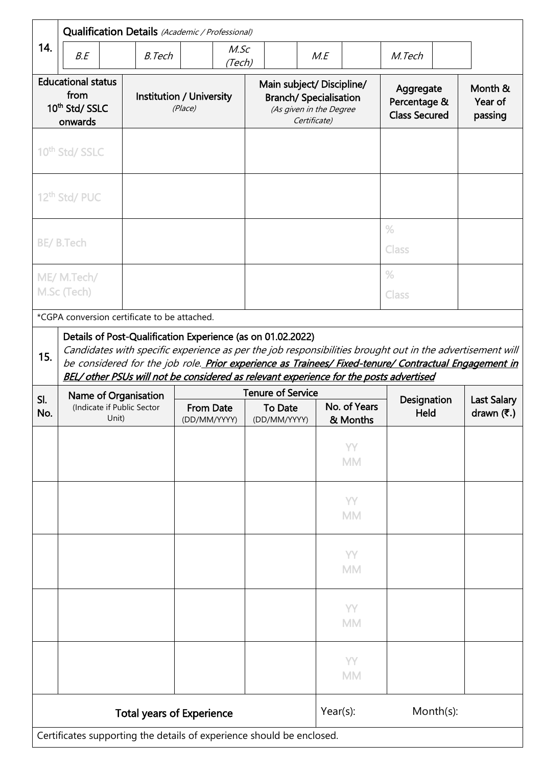|                                                                            | Qualification Details (Academic / Professional)                                                                                                                                                                                                                                                                                                                  |                                     |                                  |                                                                                                       |                          |                                                   |                                                       |
|----------------------------------------------------------------------------|------------------------------------------------------------------------------------------------------------------------------------------------------------------------------------------------------------------------------------------------------------------------------------------------------------------------------------------------------------------|-------------------------------------|----------------------------------|-------------------------------------------------------------------------------------------------------|--------------------------|---------------------------------------------------|-------------------------------------------------------|
| 14.                                                                        | B.E                                                                                                                                                                                                                                                                                                                                                              | <b>B.Tech</b>                       | M.SC<br>(Tech)                   |                                                                                                       | M.E                      | M.Tech                                            |                                                       |
| <b>Educational status</b><br>from<br>10 <sup>th</sup> Std/ SSLC<br>onwards |                                                                                                                                                                                                                                                                                                                                                                  | Institution / University<br>(Place) |                                  | Main subject/ Discipline/<br><b>Branch/ Specialisation</b><br>(As given in the Degree<br>Certificate) |                          | Aggregate<br>Percentage &<br><b>Class Secured</b> | Month &<br>Year of<br>passing                         |
|                                                                            | 10 <sup>th</sup> Std/ SSLC                                                                                                                                                                                                                                                                                                                                       |                                     |                                  |                                                                                                       |                          |                                                   |                                                       |
|                                                                            | 12 <sup>th</sup> Std/ PUC                                                                                                                                                                                                                                                                                                                                        |                                     |                                  |                                                                                                       |                          |                                                   |                                                       |
|                                                                            | <b>BE/B.Tech</b>                                                                                                                                                                                                                                                                                                                                                 |                                     |                                  |                                                                                                       |                          | $\%$<br>Class                                     |                                                       |
|                                                                            | ME/ M.Tech/<br>M.Sc (Tech)                                                                                                                                                                                                                                                                                                                                       |                                     |                                  |                                                                                                       |                          | $\frac{0}{0}$<br>Class                            |                                                       |
|                                                                            | *CGPA conversion certificate to be attached.                                                                                                                                                                                                                                                                                                                     |                                     |                                  |                                                                                                       |                          |                                                   |                                                       |
| 15.                                                                        | Candidates with specific experience as per the job responsibilities brought out in the advertisement will<br>be considered for the job role. Prior experience as Trainees/ Fixed-tenure/ Contractual Engagement in<br>BEL/ other PSUs will not be considered as relevant experience for the posts advertised<br><b>Tenure of Service</b><br>Name of Organisation |                                     |                                  |                                                                                                       |                          |                                                   |                                                       |
|                                                                            |                                                                                                                                                                                                                                                                                                                                                                  |                                     |                                  |                                                                                                       |                          |                                                   |                                                       |
| SI.<br>No.                                                                 | (Indicate if Public Sector<br>Unit)                                                                                                                                                                                                                                                                                                                              |                                     | <b>From Date</b><br>(DD/MM/YYYY) | <b>To Date</b><br>(DD/MM/YYYY)                                                                        | No. of Years<br>& Months | Designation<br>Held                               | <b>Last Salary</b><br>drawn $(\overline{\mathbf{z}})$ |
|                                                                            |                                                                                                                                                                                                                                                                                                                                                                  |                                     |                                  |                                                                                                       | YY<br><b>MM</b>          |                                                   |                                                       |
|                                                                            |                                                                                                                                                                                                                                                                                                                                                                  |                                     |                                  |                                                                                                       | YY<br><b>MM</b>          |                                                   |                                                       |
|                                                                            |                                                                                                                                                                                                                                                                                                                                                                  |                                     |                                  |                                                                                                       | YY<br><b>MM</b>          |                                                   |                                                       |
|                                                                            |                                                                                                                                                                                                                                                                                                                                                                  |                                     |                                  |                                                                                                       | YY<br><b>MM</b>          |                                                   |                                                       |
|                                                                            |                                                                                                                                                                                                                                                                                                                                                                  |                                     |                                  |                                                                                                       | YY<br><b>MM</b>          |                                                   |                                                       |
|                                                                            |                                                                                                                                                                                                                                                                                                                                                                  |                                     | <b>Total years of Experience</b> | Certificates supporting the details of experience should be enclosed.                                 | $Year(s)$ :              | Month(s):                                         |                                                       |